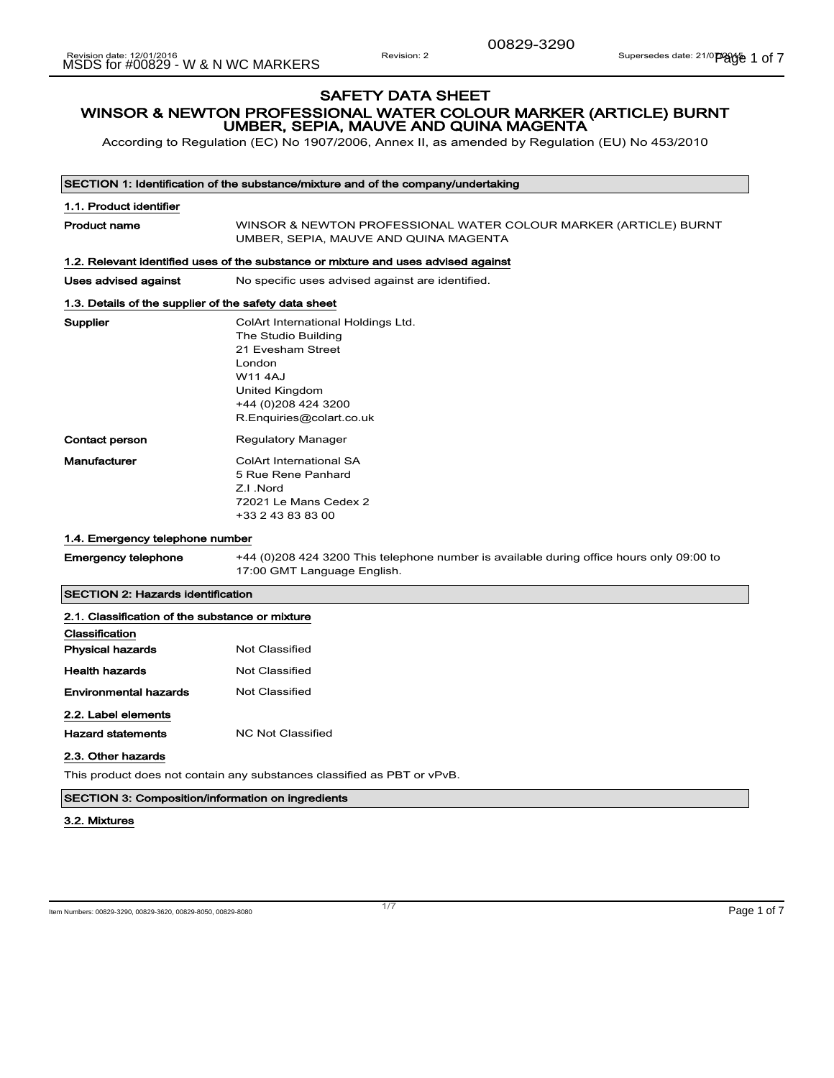00829-3290

## SAFETY DATA SHEET WINSOR & NEWTON PROFESSIONAL WATER COLOUR MARKER (ARTICLE) BURNT UMBER, SEPIA, MAUVE AND QUINA MAGENTA

According to Regulation (EC) No 1907/2006, Annex II, as amended by Regulation (EU) No 453/2010

| SECTION 1: Identification of the substance/mixture and of the company/undertaking  |                                                                                                                                                                                |  |
|------------------------------------------------------------------------------------|--------------------------------------------------------------------------------------------------------------------------------------------------------------------------------|--|
| 1.1. Product identifier                                                            |                                                                                                                                                                                |  |
| <b>Product name</b>                                                                | WINSOR & NEWTON PROFESSIONAL WATER COLOUR MARKER (ARTICLE) BURNT<br>UMBER, SEPIA, MAUVE AND QUINA MAGENTA                                                                      |  |
| 1.2. Relevant identified uses of the substance or mixture and uses advised against |                                                                                                                                                                                |  |
| Uses advised against                                                               | No specific uses advised against are identified.                                                                                                                               |  |
| 1.3. Details of the supplier of the safety data sheet                              |                                                                                                                                                                                |  |
| <b>Supplier</b>                                                                    | ColArt International Holdings Ltd.<br>The Studio Building<br>21 Evesham Street<br>London<br><b>W114AJ</b><br>United Kingdom<br>+44 (0)208 424 3200<br>R.Enquiries@colart.co.uk |  |
| <b>Contact person</b>                                                              | <b>Regulatory Manager</b>                                                                                                                                                      |  |
| Manufacturer                                                                       | <b>ColArt International SA</b><br>5 Rue Rene Panhard<br>Z.I.Nord<br>72021 Le Mans Cedex 2<br>+33 2 43 83 83 00                                                                 |  |
| 1.4. Emergency telephone number                                                    |                                                                                                                                                                                |  |
| <b>Emergency telephone</b>                                                         | +44 (0)208 424 3200 This telephone number is available during office hours only 09:00 to<br>17:00 GMT Language English.                                                        |  |
| <b>SECTION 2: Hazards identification</b>                                           |                                                                                                                                                                                |  |
| 2.1. Classification of the substance or mixture                                    |                                                                                                                                                                                |  |
| Classification                                                                     |                                                                                                                                                                                |  |
| <b>Physical hazards</b>                                                            | <b>Not Classified</b>                                                                                                                                                          |  |
| <b>Health hazards</b>                                                              | <b>Not Classified</b>                                                                                                                                                          |  |
| <b>Environmental hazards</b>                                                       | <b>Not Classified</b>                                                                                                                                                          |  |

#### 2.2. Label elements

Hazard statements MC Not Classified

#### 2.3. Other hazards

This product does not contain any substances classified as PBT or vPvB.

#### SECTION 3: Composition/information on ingredients

#### 3.2. Mixtures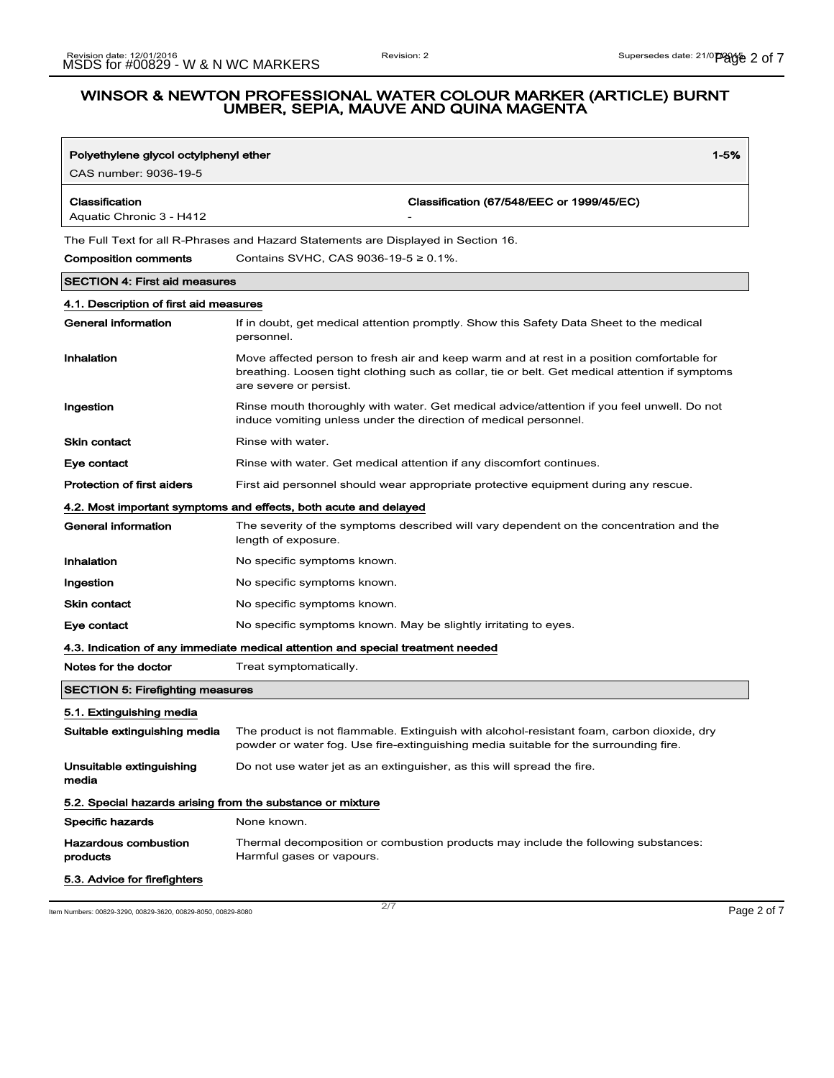| Polyethylene glycol octylphenyl ether                                              | $1 - 5%$                                                                                                                                                                                                               |  |
|------------------------------------------------------------------------------------|------------------------------------------------------------------------------------------------------------------------------------------------------------------------------------------------------------------------|--|
| CAS number: 9036-19-5                                                              |                                                                                                                                                                                                                        |  |
| Classification<br>Aquatic Chronic 3 - H412                                         | Classification (67/548/EEC or 1999/45/EC)                                                                                                                                                                              |  |
| The Full Text for all R-Phrases and Hazard Statements are Displayed in Section 16. |                                                                                                                                                                                                                        |  |
| <b>Composition comments</b>                                                        | Contains SVHC, CAS 9036-19-5 ≥ 0.1%.                                                                                                                                                                                   |  |
| <b>SECTION 4: First aid measures</b>                                               |                                                                                                                                                                                                                        |  |
| 4.1. Description of first aid measures                                             |                                                                                                                                                                                                                        |  |
| <b>General information</b>                                                         | If in doubt, get medical attention promptly. Show this Safety Data Sheet to the medical<br>personnel.                                                                                                                  |  |
| Inhalation                                                                         | Move affected person to fresh air and keep warm and at rest in a position comfortable for<br>breathing. Loosen tight clothing such as collar, tie or belt. Get medical attention if symptoms<br>are severe or persist. |  |
| Ingestion                                                                          | Rinse mouth thoroughly with water. Get medical advice/attention if you feel unwell. Do not<br>induce vomiting unless under the direction of medical personnel.                                                         |  |
| Skin contact                                                                       | Rinse with water.                                                                                                                                                                                                      |  |
| Eye contact                                                                        | Rinse with water. Get medical attention if any discomfort continues.                                                                                                                                                   |  |
| <b>Protection of first aiders</b>                                                  | First aid personnel should wear appropriate protective equipment during any rescue.                                                                                                                                    |  |
|                                                                                    | 4.2. Most important symptoms and effects, both acute and delayed                                                                                                                                                       |  |
| General information                                                                | The severity of the symptoms described will vary dependent on the concentration and the<br>length of exposure.                                                                                                         |  |
| Inhalation                                                                         | No specific symptoms known.                                                                                                                                                                                            |  |
| Ingestion                                                                          | No specific symptoms known.                                                                                                                                                                                            |  |
| Skin contact                                                                       | No specific symptoms known.                                                                                                                                                                                            |  |
| Eye contact                                                                        | No specific symptoms known. May be slightly irritating to eyes.                                                                                                                                                        |  |
|                                                                                    | 4.3. Indication of any immediate medical attention and special treatment needed                                                                                                                                        |  |
| Notes for the doctor                                                               | Treat symptomatically.                                                                                                                                                                                                 |  |
| <b>SECTION 5: Firefighting measures</b>                                            |                                                                                                                                                                                                                        |  |
| 5.1. Extinguishing media                                                           |                                                                                                                                                                                                                        |  |
| Suitable extinguishing media                                                       | The product is not flammable. Extinguish with alcohol-resistant foam, carbon dioxide, dry<br>powder or water fog. Use fire-extinguishing media suitable for the surrounding fire.                                      |  |
| Unsuitable extinguishing<br>media                                                  | Do not use water jet as an extinguisher, as this will spread the fire.                                                                                                                                                 |  |
| 5.2. Special hazards arising from the substance or mixture                         |                                                                                                                                                                                                                        |  |
| <b>Specific hazards</b>                                                            | None known.                                                                                                                                                                                                            |  |
| <b>Hazardous combustion</b><br>products                                            | Thermal decomposition or combustion products may include the following substances:<br>Harmful gases or vapours.                                                                                                        |  |
| 5.3. Advice for firefighters                                                       |                                                                                                                                                                                                                        |  |

Item Numbers: 00829-3290, 00829-3620, 00829-8050, 00829-8080 Page 2 of 7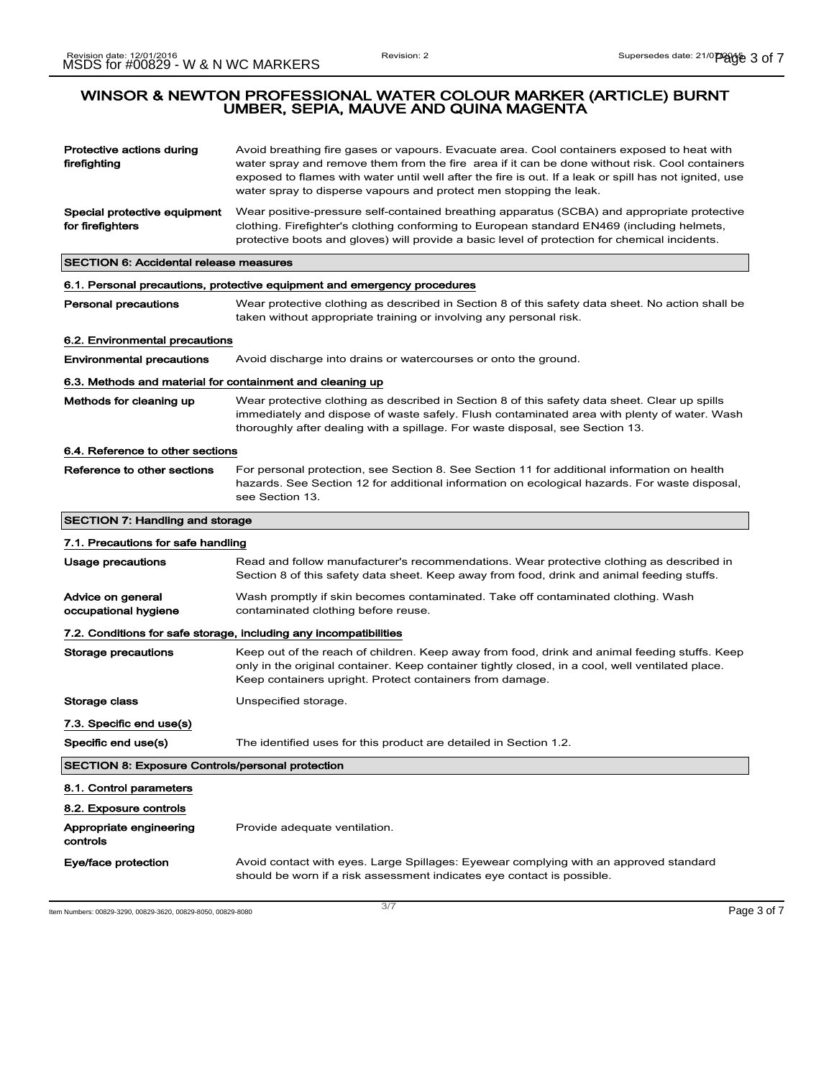| Protective actions during<br>firefighting                                | Avoid breathing fire gases or vapours. Evacuate area. Cool containers exposed to heat with<br>water spray and remove them from the fire area if it can be done without risk. Cool containers<br>exposed to flames with water until well after the fire is out. If a leak or spill has not ignited, use<br>water spray to disperse vapours and protect men stopping the leak. |  |
|--------------------------------------------------------------------------|------------------------------------------------------------------------------------------------------------------------------------------------------------------------------------------------------------------------------------------------------------------------------------------------------------------------------------------------------------------------------|--|
| Special protective equipment<br>for firefighters                         | Wear positive-pressure self-contained breathing apparatus (SCBA) and appropriate protective<br>clothing. Firefighter's clothing conforming to European standard EN469 (including helmets,<br>protective boots and gloves) will provide a basic level of protection for chemical incidents.                                                                                   |  |
| <b>SECTION 6: Accidental release measures</b>                            |                                                                                                                                                                                                                                                                                                                                                                              |  |
| 6.1. Personal precautions, protective equipment and emergency procedures |                                                                                                                                                                                                                                                                                                                                                                              |  |
| <b>Personal precautions</b>                                              | Wear protective clothing as described in Section 8 of this safety data sheet. No action shall be<br>taken without appropriate training or involving any personal risk.                                                                                                                                                                                                       |  |
| 6.2. Environmental precautions                                           |                                                                                                                                                                                                                                                                                                                                                                              |  |
| <b>Environmental precautions</b>                                         | Avoid discharge into drains or watercourses or onto the ground.                                                                                                                                                                                                                                                                                                              |  |
| 6.3. Methods and material for containment and cleaning up                |                                                                                                                                                                                                                                                                                                                                                                              |  |
| Methods for cleaning up                                                  | Wear protective clothing as described in Section 8 of this safety data sheet. Clear up spills<br>immediately and dispose of waste safely. Flush contaminated area with plenty of water. Wash<br>thoroughly after dealing with a spillage. For waste disposal, see Section 13.                                                                                                |  |
| 6.4. Reference to other sections                                         |                                                                                                                                                                                                                                                                                                                                                                              |  |
| Reference to other sections                                              | For personal protection, see Section 8. See Section 11 for additional information on health<br>hazards. See Section 12 for additional information on ecological hazards. For waste disposal,<br>see Section 13.                                                                                                                                                              |  |
| <b>SECTION 7: Handling and storage</b>                                   |                                                                                                                                                                                                                                                                                                                                                                              |  |
| 7.1. Precautions for safe handling                                       |                                                                                                                                                                                                                                                                                                                                                                              |  |
| Usage precautions                                                        | Read and follow manufacturer's recommendations. Wear protective clothing as described in<br>Section 8 of this safety data sheet. Keep away from food, drink and animal feeding stuffs.                                                                                                                                                                                       |  |
| Advice on general<br>occupational hygiene                                | Wash promptly if skin becomes contaminated. Take off contaminated clothing. Wash<br>contaminated clothing before reuse.                                                                                                                                                                                                                                                      |  |
|                                                                          | 7.2. Conditions for safe storage, including any incompatibilities                                                                                                                                                                                                                                                                                                            |  |
| Storage precautions                                                      | Keep out of the reach of children. Keep away from food, drink and animal feeding stuffs. Keep<br>only in the original container. Keep container tightly closed, in a cool, well ventilated place.<br>Keep containers upright. Protect containers from damage.                                                                                                                |  |
| Storage class                                                            | Unspecified storage.                                                                                                                                                                                                                                                                                                                                                         |  |
| 7.3. Specific end use(s)                                                 |                                                                                                                                                                                                                                                                                                                                                                              |  |
| Specific end use(s)                                                      | The identified uses for this product are detailed in Section 1.2.                                                                                                                                                                                                                                                                                                            |  |
| <b>SECTION 8: Exposure Controls/personal protection</b>                  |                                                                                                                                                                                                                                                                                                                                                                              |  |
| 8.1. Control parameters                                                  |                                                                                                                                                                                                                                                                                                                                                                              |  |
| 8.2. Exposure controls                                                   |                                                                                                                                                                                                                                                                                                                                                                              |  |
| Appropriate engineering<br>controls                                      | Provide adequate ventilation.                                                                                                                                                                                                                                                                                                                                                |  |
| Eye/face protection                                                      | Avoid contact with eyes. Large Spillages: Eyewear complying with an approved standard<br>should be worn if a risk assessment indicates eye contact is possible.                                                                                                                                                                                                              |  |

Item Numbers: 00829-3290, 00829-3620, 00829-8050, 00829-8080  $3/7$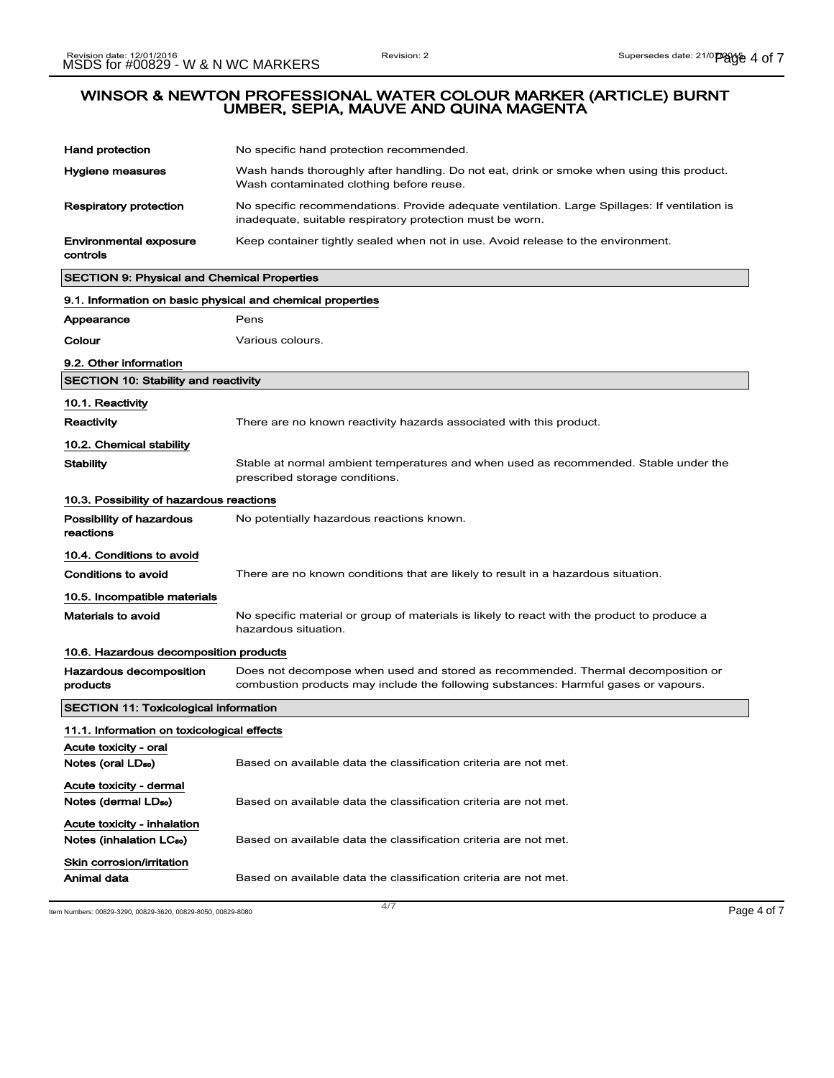| <b>Hand protection</b>                                              | No specific hand protection recommended.                                                                                                                                |  |
|---------------------------------------------------------------------|-------------------------------------------------------------------------------------------------------------------------------------------------------------------------|--|
| Hygiene measures                                                    | Wash hands thoroughly after handling. Do not eat, drink or smoke when using this product.<br>Wash contaminated clothing before reuse.                                   |  |
| <b>Respiratory protection</b>                                       | No specific recommendations. Provide adequate ventilation. Large Spillages: If ventilation is<br>inadequate, suitable respiratory protection must be worn.              |  |
| Environmental exposure<br>controls                                  | Keep container tightly sealed when not in use. Avoid release to the environment.                                                                                        |  |
| <b>SECTION 9: Physical and Chemical Properties</b>                  |                                                                                                                                                                         |  |
| 9.1. Information on basic physical and chemical properties          |                                                                                                                                                                         |  |
| Appearance                                                          | Pens                                                                                                                                                                    |  |
| Colour                                                              | Various colours.                                                                                                                                                        |  |
| 9.2. Other information                                              |                                                                                                                                                                         |  |
| <b>SECTION 10: Stability and reactivity</b>                         |                                                                                                                                                                         |  |
| 10.1. Reactivity                                                    |                                                                                                                                                                         |  |
| Reactivity                                                          | There are no known reactivity hazards associated with this product.                                                                                                     |  |
| 10.2. Chemical stability                                            |                                                                                                                                                                         |  |
| <b>Stability</b>                                                    | Stable at normal ambient temperatures and when used as recommended. Stable under the<br>prescribed storage conditions.                                                  |  |
| 10.3. Possibility of hazardous reactions                            |                                                                                                                                                                         |  |
| Possibility of hazardous<br>reactions                               | No potentially hazardous reactions known.                                                                                                                               |  |
| 10.4. Conditions to avoid                                           |                                                                                                                                                                         |  |
| Conditions to avoid                                                 | There are no known conditions that are likely to result in a hazardous situation.                                                                                       |  |
| 10.5. Incompatible materials                                        |                                                                                                                                                                         |  |
| <b>Materials to avoid</b>                                           | No specific material or group of materials is likely to react with the product to produce a<br>hazardous situation.                                                     |  |
| 10.6. Hazardous decomposition products                              |                                                                                                                                                                         |  |
| Hazardous decomposition<br>products                                 | Does not decompose when used and stored as recommended. Thermal decomposition or<br>combustion products may include the following substances: Harmful gases or vapours. |  |
| <b>SECTION 11: Toxicological information</b>                        |                                                                                                                                                                         |  |
| 11.1. Information on toxicological effects                          |                                                                                                                                                                         |  |
| Acute toxicity - oral<br>Notes (oral LD <sub>50</sub> )             | Based on available data the classification criteria are not met.                                                                                                        |  |
| Acute toxicity - dermal<br>Notes (dermal LD <sub>50</sub> )         | Based on available data the classification criteria are not met.                                                                                                        |  |
| Acute toxicity - inhalation<br>Notes (inhalation LC <sub>50</sub> ) | Based on available data the classification criteria are not met.                                                                                                        |  |
| Skin corrosion/irritation<br>Animal data                            | Based on available data the classification criteria are not met.                                                                                                        |  |

Item Numbers: 00829-3290, 00829-3620, 00829-8050, 00829-8080 Page 4 of 7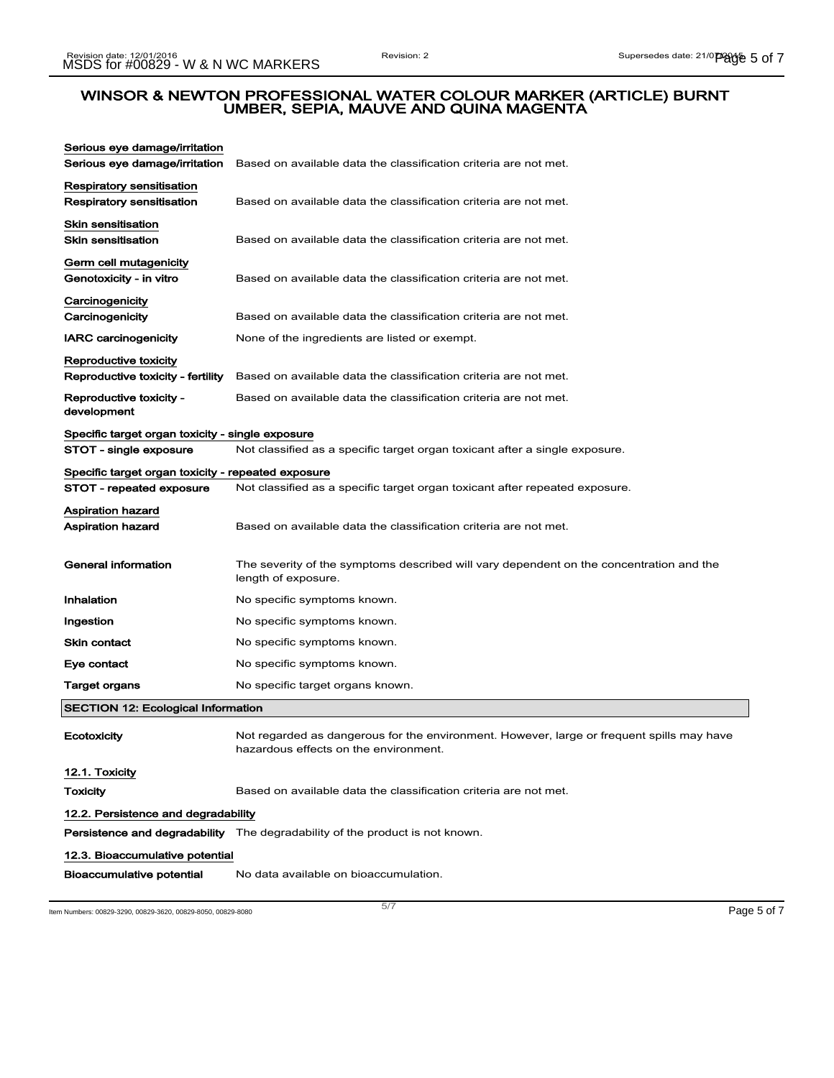| Serious eye damage/irritation                              |                                                                                                                                    |  |
|------------------------------------------------------------|------------------------------------------------------------------------------------------------------------------------------------|--|
| Serious eye damage/irritation                              | Based on available data the classification criteria are not met.                                                                   |  |
| Respiratory sensitisation<br>Respiratory sensitisation     | Based on available data the classification criteria are not met.                                                                   |  |
| <b>Skin sensitisation</b><br><b>Skin sensitisation</b>     | Based on available data the classification criteria are not met.                                                                   |  |
| Germ cell mutagenicity<br>Genotoxicity - in vitro          | Based on available data the classification criteria are not met.                                                                   |  |
| Carcinogenicity<br>Carcinogenicity                         | Based on available data the classification criteria are not met.                                                                   |  |
| <b>IARC carcinogenicity</b>                                | None of the ingredients are listed or exempt.                                                                                      |  |
| Reproductive toxicity<br>Reproductive toxicity - fertility | Based on available data the classification criteria are not met.                                                                   |  |
| Reproductive toxicity -<br>development                     | Based on available data the classification criteria are not met.                                                                   |  |
| Specific target organ toxicity - single exposure           |                                                                                                                                    |  |
| STOT - single exposure                                     | Not classified as a specific target organ toxicant after a single exposure.                                                        |  |
| Specific target organ toxicity - repeated exposure         |                                                                                                                                    |  |
| STOT - repeated exposure                                   | Not classified as a specific target organ toxicant after repeated exposure.                                                        |  |
| <b>Aspiration hazard</b><br>Aspiration hazard              | Based on available data the classification criteria are not met.                                                                   |  |
| General information                                        | The severity of the symptoms described will vary dependent on the concentration and the<br>length of exposure.                     |  |
| Inhalation                                                 | No specific symptoms known.                                                                                                        |  |
| Ingestion                                                  | No specific symptoms known.                                                                                                        |  |
| Skin contact                                               | No specific symptoms known.                                                                                                        |  |
| Eye contact                                                | No specific symptoms known.                                                                                                        |  |
| Target organs                                              | No specific target organs known.                                                                                                   |  |
| <b>SECTION 12: Ecological Information</b>                  |                                                                                                                                    |  |
| Ecotoxicity                                                | Not regarded as dangerous for the environment. However, large or frequent spills may have<br>hazardous effects on the environment. |  |
| 12.1. Toxicity                                             |                                                                                                                                    |  |
| <b>Toxicity</b>                                            | Based on available data the classification criteria are not met.                                                                   |  |
| 12.2. Persistence and degradability                        |                                                                                                                                    |  |
|                                                            | <b>Persistence and degradability</b> The degradability of the product is not known.                                                |  |
| 12.3. Bioaccumulative potential                            |                                                                                                                                    |  |
| Bioaccumulative potential                                  | No data available on bioaccumulation.                                                                                              |  |

Item Numbers: 00829-3290, 00829-3620, 00829-8050, 00829-8080 Page 5 of 7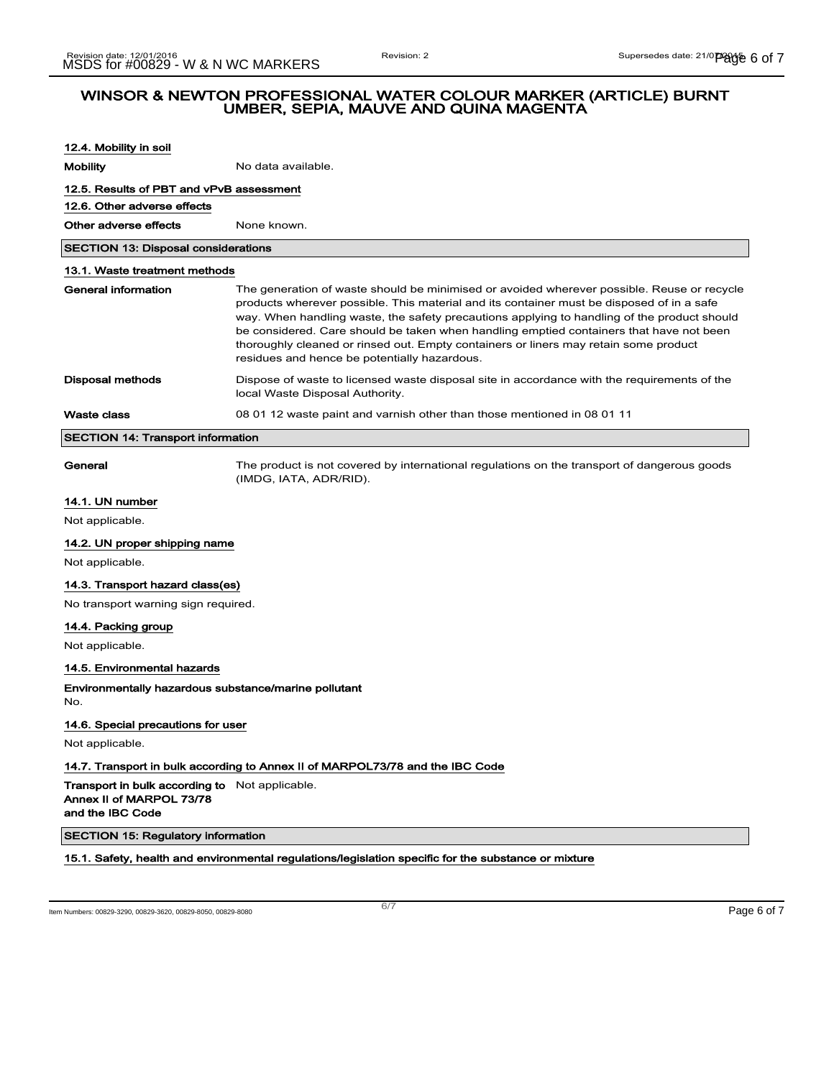| 12.4. Mobility in soil                                                                                |                                                                                                                                                                                                                                                                                                                                                                                                                                                                                                                           |  |  |
|-------------------------------------------------------------------------------------------------------|---------------------------------------------------------------------------------------------------------------------------------------------------------------------------------------------------------------------------------------------------------------------------------------------------------------------------------------------------------------------------------------------------------------------------------------------------------------------------------------------------------------------------|--|--|
| <b>Mobility</b>                                                                                       | No data available.                                                                                                                                                                                                                                                                                                                                                                                                                                                                                                        |  |  |
| 12.5. Results of PBT and vPvB assessment                                                              |                                                                                                                                                                                                                                                                                                                                                                                                                                                                                                                           |  |  |
| 12.6. Other adverse effects                                                                           |                                                                                                                                                                                                                                                                                                                                                                                                                                                                                                                           |  |  |
| Other adverse effects                                                                                 | None known.                                                                                                                                                                                                                                                                                                                                                                                                                                                                                                               |  |  |
| <b>SECTION 13: Disposal considerations</b>                                                            |                                                                                                                                                                                                                                                                                                                                                                                                                                                                                                                           |  |  |
| 13.1. Waste treatment methods                                                                         |                                                                                                                                                                                                                                                                                                                                                                                                                                                                                                                           |  |  |
| <b>General information</b>                                                                            | The generation of waste should be minimised or avoided wherever possible. Reuse or recycle<br>products wherever possible. This material and its container must be disposed of in a safe<br>way. When handling waste, the safety precautions applying to handling of the product should<br>be considered. Care should be taken when handling emptied containers that have not been<br>thoroughly cleaned or rinsed out. Empty containers or liners may retain some product<br>residues and hence be potentially hazardous. |  |  |
| Disposal methods                                                                                      | Dispose of waste to licensed waste disposal site in accordance with the requirements of the<br>local Waste Disposal Authority.                                                                                                                                                                                                                                                                                                                                                                                            |  |  |
| Waste class                                                                                           | 08 01 12 waste paint and varnish other than those mentioned in 08 01 11                                                                                                                                                                                                                                                                                                                                                                                                                                                   |  |  |
| <b>SECTION 14: Transport information</b>                                                              |                                                                                                                                                                                                                                                                                                                                                                                                                                                                                                                           |  |  |
| General                                                                                               | The product is not covered by international regulations on the transport of dangerous goods<br>(IMDG, IATA, ADR/RID).                                                                                                                                                                                                                                                                                                                                                                                                     |  |  |
| 14.1. UN number                                                                                       |                                                                                                                                                                                                                                                                                                                                                                                                                                                                                                                           |  |  |
| Not applicable.                                                                                       |                                                                                                                                                                                                                                                                                                                                                                                                                                                                                                                           |  |  |
| 14.2. UN proper shipping name                                                                         |                                                                                                                                                                                                                                                                                                                                                                                                                                                                                                                           |  |  |
| Not applicable.                                                                                       |                                                                                                                                                                                                                                                                                                                                                                                                                                                                                                                           |  |  |
| 14.3. Transport hazard class(es)                                                                      |                                                                                                                                                                                                                                                                                                                                                                                                                                                                                                                           |  |  |
| No transport warning sign required.                                                                   |                                                                                                                                                                                                                                                                                                                                                                                                                                                                                                                           |  |  |
| 14.4. Packing group                                                                                   |                                                                                                                                                                                                                                                                                                                                                                                                                                                                                                                           |  |  |
| Not applicable.                                                                                       |                                                                                                                                                                                                                                                                                                                                                                                                                                                                                                                           |  |  |
| 14.5. Environmental hazards                                                                           |                                                                                                                                                                                                                                                                                                                                                                                                                                                                                                                           |  |  |
| No.                                                                                                   | Environmentally hazardous substance/marine pollutant                                                                                                                                                                                                                                                                                                                                                                                                                                                                      |  |  |
| 14.6. Special precautions for user                                                                    |                                                                                                                                                                                                                                                                                                                                                                                                                                                                                                                           |  |  |
| Not applicable.                                                                                       |                                                                                                                                                                                                                                                                                                                                                                                                                                                                                                                           |  |  |
|                                                                                                       | 14.7. Transport in bulk according to Annex II of MARPOL73/78 and the IBC Code                                                                                                                                                                                                                                                                                                                                                                                                                                             |  |  |
| <b>Transport in bulk according to</b> Not applicable.<br>Annex II of MARPOL 73/78<br>and the IBC Code |                                                                                                                                                                                                                                                                                                                                                                                                                                                                                                                           |  |  |
| <b>SECTION 15: Regulatory information</b>                                                             |                                                                                                                                                                                                                                                                                                                                                                                                                                                                                                                           |  |  |
|                                                                                                       | 15.1. Safety, health and environmental regulations/legislation specific for the substance or mixture                                                                                                                                                                                                                                                                                                                                                                                                                      |  |  |
|                                                                                                       |                                                                                                                                                                                                                                                                                                                                                                                                                                                                                                                           |  |  |
|                                                                                                       | 6/7                                                                                                                                                                                                                                                                                                                                                                                                                                                                                                                       |  |  |
| Item Numbers: 00829-3290, 00829-3620, 00829-8050, 00829-8080                                          | Page 6 of 7                                                                                                                                                                                                                                                                                                                                                                                                                                                                                                               |  |  |